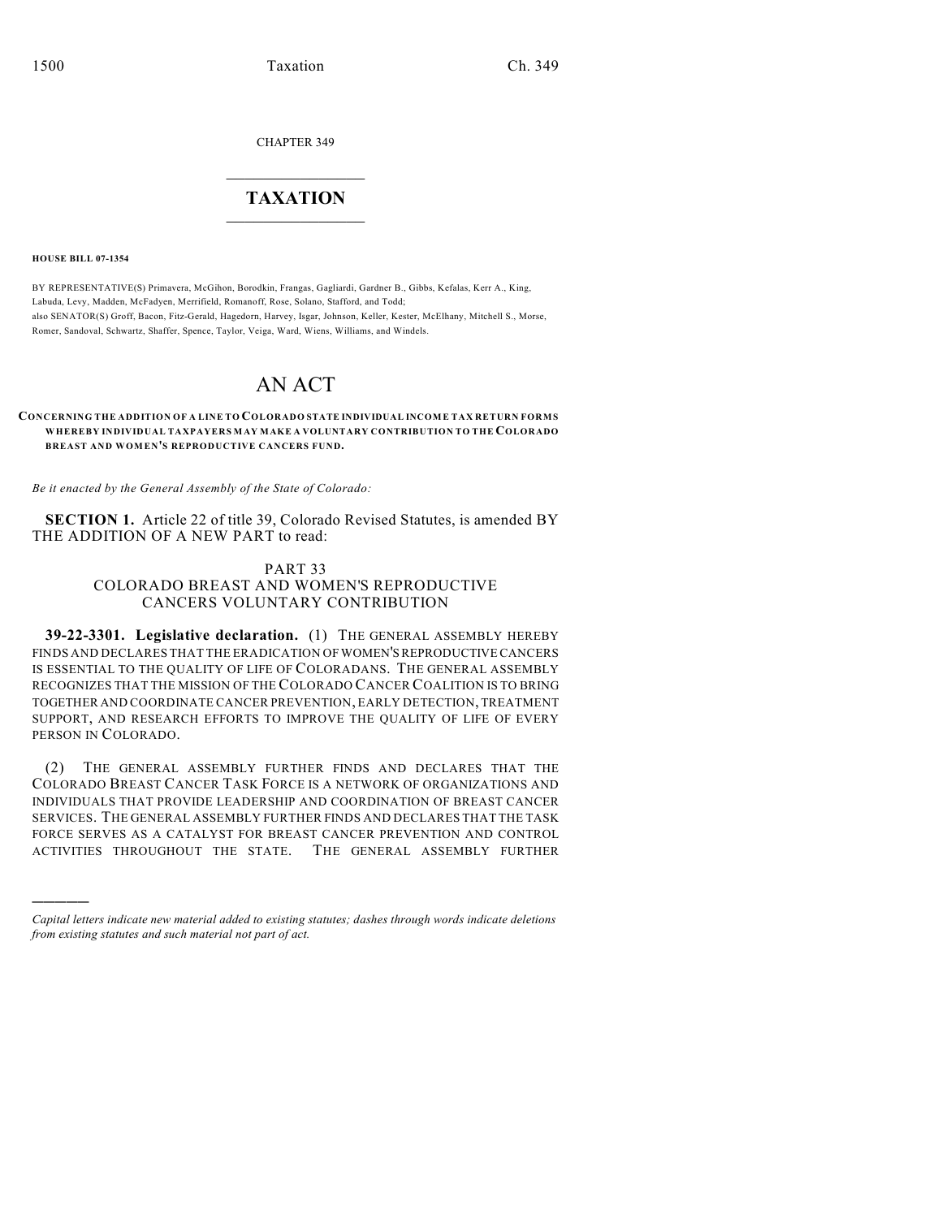CHAPTER 349

## $\overline{\phantom{a}}$  . The set of the set of the set of the set of the set of the set of the set of the set of the set of the set of the set of the set of the set of the set of the set of the set of the set of the set of the set o **TAXATION**  $\_$

**HOUSE BILL 07-1354**

)))))

BY REPRESENTATIVE(S) Primavera, McGihon, Borodkin, Frangas, Gagliardi, Gardner B., Gibbs, Kefalas, Kerr A., King, Labuda, Levy, Madden, McFadyen, Merrifield, Romanoff, Rose, Solano, Stafford, and Todd; also SENATOR(S) Groff, Bacon, Fitz-Gerald, Hagedorn, Harvey, Isgar, Johnson, Keller, Kester, McElhany, Mitchell S., Morse, Romer, Sandoval, Schwartz, Shaffer, Spence, Taylor, Veiga, Ward, Wiens, Williams, and Windels.

# AN ACT

#### **CONCERNING THE ADDITION OF A LINE TO COLORADO STATE INDIVIDUAL INCOME TAX RETURN FORMS WHEREBY INDIVIDUAL TAXPAYERS MAY MAKE A VOLUNTARY CONTRIBUTION TO THE COLORADO BREAST AND WOMEN'S REPRODUCTIVE CANCERS FUND.**

*Be it enacted by the General Assembly of the State of Colorado:*

**SECTION 1.** Article 22 of title 39, Colorado Revised Statutes, is amended BY THE ADDITION OF A NEW PART to read:

## PART 33 COLORADO BREAST AND WOMEN'S REPRODUCTIVE CANCERS VOLUNTARY CONTRIBUTION

**39-22-3301. Legislative declaration.** (1) THE GENERAL ASSEMBLY HEREBY FINDS AND DECLARES THAT THE ERADICATION OF WOMEN'S REPRODUCTIVE CANCERS IS ESSENTIAL TO THE QUALITY OF LIFE OF COLORADANS. THE GENERAL ASSEMBLY RECOGNIZES THAT THE MISSION OF THE COLORADO CANCER COALITION IS TO BRING TOGETHER AND COORDINATE CANCER PREVENTION, EARLY DETECTION, TREATMENT SUPPORT, AND RESEARCH EFFORTS TO IMPROVE THE QUALITY OF LIFE OF EVERY PERSON IN COLORADO.

(2) THE GENERAL ASSEMBLY FURTHER FINDS AND DECLARES THAT THE COLORADO BREAST CANCER TASK FORCE IS A NETWORK OF ORGANIZATIONS AND INDIVIDUALS THAT PROVIDE LEADERSHIP AND COORDINATION OF BREAST CANCER SERVICES. THE GENERAL ASSEMBLY FURTHER FINDS AND DECLARES THAT THE TASK FORCE SERVES AS A CATALYST FOR BREAST CANCER PREVENTION AND CONTROL ACTIVITIES THROUGHOUT THE STATE. THE GENERAL ASSEMBLY FURTHER

*Capital letters indicate new material added to existing statutes; dashes through words indicate deletions from existing statutes and such material not part of act.*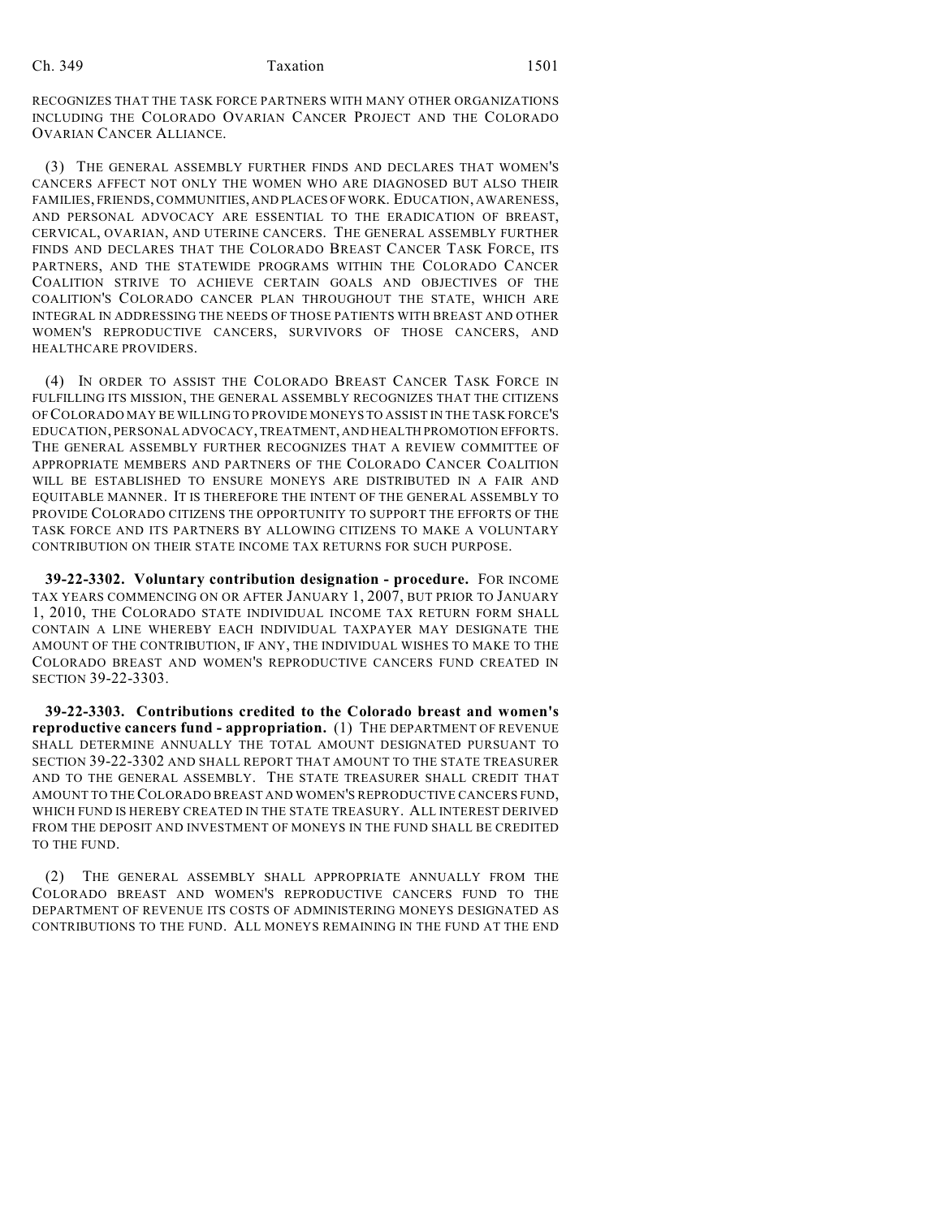### Ch. 349 **Taxation** 1501

RECOGNIZES THAT THE TASK FORCE PARTNERS WITH MANY OTHER ORGANIZATIONS INCLUDING THE COLORADO OVARIAN CANCER PROJECT AND THE COLORADO OVARIAN CANCER ALLIANCE.

(3) THE GENERAL ASSEMBLY FURTHER FINDS AND DECLARES THAT WOMEN'S CANCERS AFFECT NOT ONLY THE WOMEN WHO ARE DIAGNOSED BUT ALSO THEIR FAMILIES, FRIENDS, COMMUNITIES, AND PLACES OF WORK. EDUCATION, AWARENESS, AND PERSONAL ADVOCACY ARE ESSENTIAL TO THE ERADICATION OF BREAST, CERVICAL, OVARIAN, AND UTERINE CANCERS. THE GENERAL ASSEMBLY FURTHER FINDS AND DECLARES THAT THE COLORADO BREAST CANCER TASK FORCE, ITS PARTNERS, AND THE STATEWIDE PROGRAMS WITHIN THE COLORADO CANCER COALITION STRIVE TO ACHIEVE CERTAIN GOALS AND OBJECTIVES OF THE COALITION'S COLORADO CANCER PLAN THROUGHOUT THE STATE, WHICH ARE INTEGRAL IN ADDRESSING THE NEEDS OF THOSE PATIENTS WITH BREAST AND OTHER WOMEN'S REPRODUCTIVE CANCERS, SURVIVORS OF THOSE CANCERS, AND HEALTHCARE PROVIDERS.

(4) IN ORDER TO ASSIST THE COLORADO BREAST CANCER TASK FORCE IN FULFILLING ITS MISSION, THE GENERAL ASSEMBLY RECOGNIZES THAT THE CITIZENS OF COLORADO MAY BE WILLING TO PROVIDE MONEYS TO ASSIST IN THE TASK FORCE'S EDUCATION, PERSONAL ADVOCACY, TREATMENT, AND HEALTH PROMOTION EFFORTS. THE GENERAL ASSEMBLY FURTHER RECOGNIZES THAT A REVIEW COMMITTEE OF APPROPRIATE MEMBERS AND PARTNERS OF THE COLORADO CANCER COALITION WILL BE ESTABLISHED TO ENSURE MONEYS ARE DISTRIBUTED IN A FAIR AND EQUITABLE MANNER. IT IS THEREFORE THE INTENT OF THE GENERAL ASSEMBLY TO PROVIDE COLORADO CITIZENS THE OPPORTUNITY TO SUPPORT THE EFFORTS OF THE TASK FORCE AND ITS PARTNERS BY ALLOWING CITIZENS TO MAKE A VOLUNTARY CONTRIBUTION ON THEIR STATE INCOME TAX RETURNS FOR SUCH PURPOSE.

**39-22-3302. Voluntary contribution designation - procedure.** FOR INCOME TAX YEARS COMMENCING ON OR AFTER JANUARY 1, 2007, BUT PRIOR TO JANUARY 1, 2010, THE COLORADO STATE INDIVIDUAL INCOME TAX RETURN FORM SHALL CONTAIN A LINE WHEREBY EACH INDIVIDUAL TAXPAYER MAY DESIGNATE THE AMOUNT OF THE CONTRIBUTION, IF ANY, THE INDIVIDUAL WISHES TO MAKE TO THE COLORADO BREAST AND WOMEN'S REPRODUCTIVE CANCERS FUND CREATED IN SECTION 39-22-3303.

**39-22-3303. Contributions credited to the Colorado breast and women's reproductive cancers fund - appropriation.** (1) THE DEPARTMENT OF REVENUE SHALL DETERMINE ANNUALLY THE TOTAL AMOUNT DESIGNATED PURSUANT TO SECTION 39-22-3302 AND SHALL REPORT THAT AMOUNT TO THE STATE TREASURER AND TO THE GENERAL ASSEMBLY. THE STATE TREASURER SHALL CREDIT THAT AMOUNT TO THE COLORADO BREAST AND WOMEN'S REPRODUCTIVE CANCERS FUND, WHICH FUND IS HEREBY CREATED IN THE STATE TREASURY. ALL INTEREST DERIVED FROM THE DEPOSIT AND INVESTMENT OF MONEYS IN THE FUND SHALL BE CREDITED TO THE FUND.

(2) THE GENERAL ASSEMBLY SHALL APPROPRIATE ANNUALLY FROM THE COLORADO BREAST AND WOMEN'S REPRODUCTIVE CANCERS FUND TO THE DEPARTMENT OF REVENUE ITS COSTS OF ADMINISTERING MONEYS DESIGNATED AS CONTRIBUTIONS TO THE FUND. ALL MONEYS REMAINING IN THE FUND AT THE END